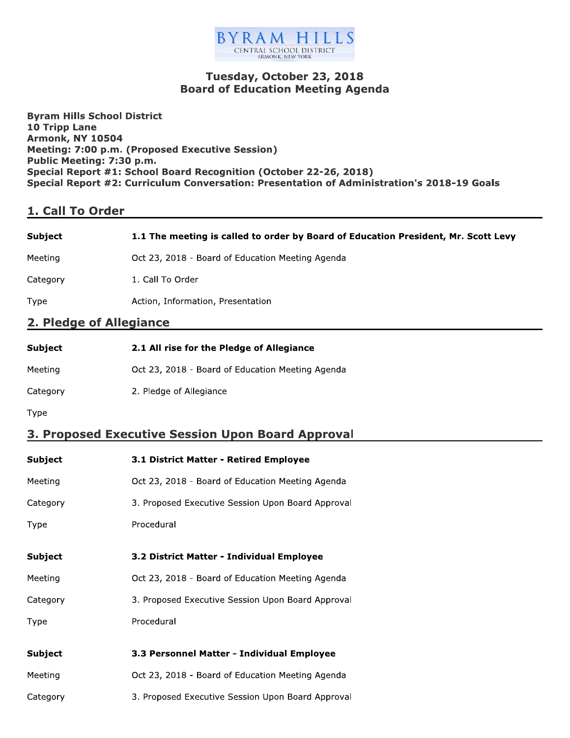

## Tuesday, October 23, 2018 Board of Education Meeting Agenda

**Byram Hills School District** 10 Tripp Lane<br>Armonk, NY 10504 Byram Hills School District<br>10 Tripp Lane<br>Armonk, NY 10504<br>Meeting: 7:00 p.m. (Propose<br>Public Meeting: 7:30 p.m.<br>Special Report #1: School Bo<br>Special Report #2: Curriculu<br>1. Call To Order meeting: 7:00 p.m. (Proposed Executive Session) Public Meeting: 7:30 p.m. Special Report #1: School Board Recognition (October 22-26, 2018) Special Report  $\#Z$ : Curriculum Conversation: Presentation of Administration's 2018-19 Goals

# <u>1. Call 10 Order</u>

| Subiect  | 1.1 The meeting is called to order by Board of Education President, Mr. Scott Levy |
|----------|------------------------------------------------------------------------------------|
| Meeting  | Oct 23, 2018 - Board of Education Meeting Agenda                                   |
| Category | 1. Call To Order                                                                   |

Type **Subset Contains Action, Information, Presentation** 

### 2. Pledge of Allegiance

| Subject  | 2.1 All rise for the Pledge of Allegiance        |
|----------|--------------------------------------------------|
| Meetina  | Oct 23, 2018 - Board of Education Meeting Agenda |
| Category | 2. Pledge of Allegiance                          |

Type

# <u>3. Proposed Executive Session Upon Board Approval</u>

| <b>Subject</b> | 3.1 District Matter - Retired Employee            |
|----------------|---------------------------------------------------|
| Meeting        | Oct 23, 2018 - Board of Education Meeting Agenda  |
| Category       | 3. Proposed Executive Session Upon Board Approval |
| Type           | Procedural                                        |
| Subject        | 3.2 District Matter - Individual Employee         |
|                |                                                   |
| Meeting        | Oct 23, 2018 - Board of Education Meeting Agenda  |
| Category       | 3. Proposed Executive Session Upon Board Approval |
| Type           | Procedural                                        |
|                |                                                   |
| <b>Subject</b> | 3.3 Personnel Matter - Individual Employee        |
| Meeting        | Oct 23, 2018 - Board of Education Meeting Agenda  |
| Category       | 3. Proposed Executive Session Upon Board Approval |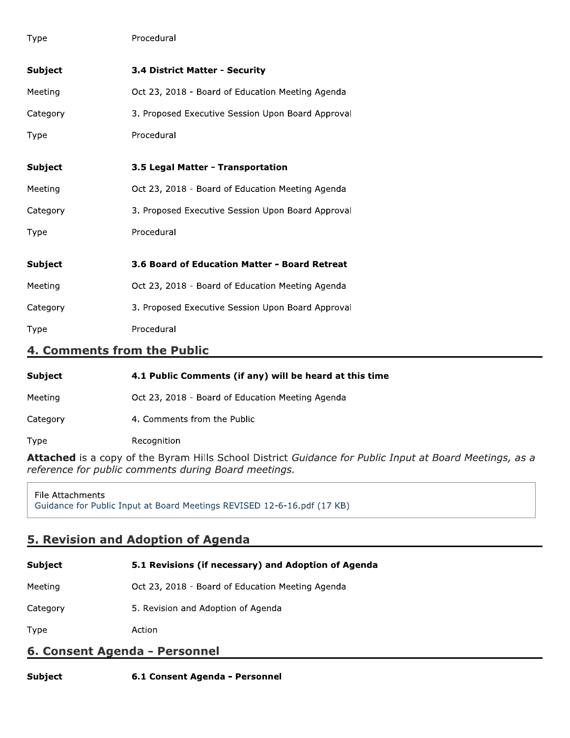| Type                        | Procedural                                        |
|-----------------------------|---------------------------------------------------|
| <b>Subject</b>              | 3.4 District Matter - Security                    |
| Meeting                     | Oct 23, 2018 - Board of Education Meeting Agenda  |
| Category                    | 3. Proposed Executive Session Upon Board Approval |
| Type                        | Procedural                                        |
| <b>Subject</b>              | 3.5 Legal Matter - Transportation                 |
| Meeting                     | Oct 23, 2018 - Board of Education Meeting Agenda  |
| Category                    | 3. Proposed Executive Session Upon Board Approval |
| Type                        | Procedural                                        |
| <b>Subject</b>              | 3.6 Board of Education Matter - Board Retreat     |
| Meeting                     | Oct 23, 2018 - Board of Education Meeting Agenda  |
| Category                    | 3. Proposed Executive Session Upon Board Approval |
| Type                        | Procedural                                        |
| 4. Comments from the Public |                                                   |

| Subject | 4.1 Public Comments (if any) will be heard at this time |  |  |
|---------|---------------------------------------------------------|--|--|

Meeting Oct 23, 2018 - Board of Education Meeting Agenda

Category 4. Comments from the Public

Type Recognition

Attached is a copy of the Byram Hills School District Guidance for Public Input at Board Meetings, as a reference for public comments during Board meetings.

File Attachments Guidance for Public Input at Board Meetings REVISED 12-6-16.pdf (17 KB)

## 5. Revision and Adoption of Agenda

| Subject  | 5.1 Revisions (if necessary) and Adoption of Agenda |
|----------|-----------------------------------------------------|
| Meeting  | Oct 23, 2018 - Board of Education Meeting Agenda    |
| Category | 5. Revision and Adoption of Agenda                  |
| Type     | Action                                              |

## 6. Consent Agenda - Personnel

**Subject** 6.1 Consent Agenda - Personnel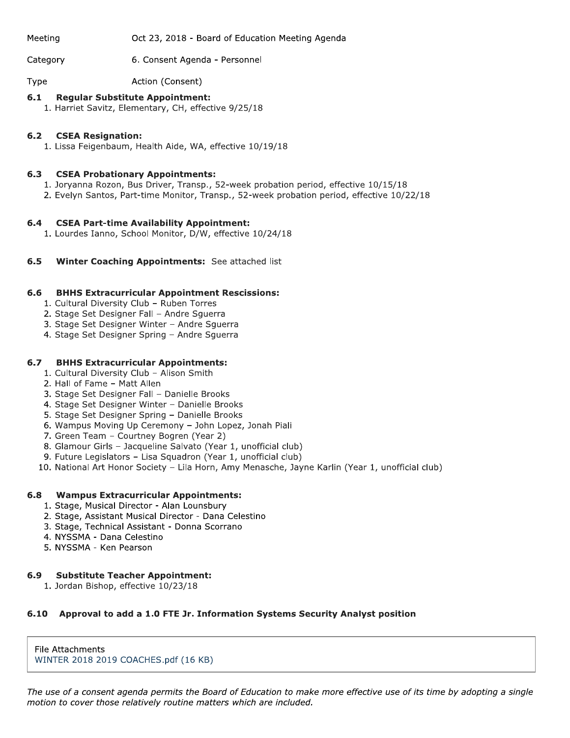Meeting Oct 23, 2018 - Board of Education Meeting Agenda

Category 6. Consent Agenda - Personnel

Action (Consent) Type

#### $6.1$ **Regular Substitute Appointment:**

1. Harriet Savitz, Elementary, CH, effective 9/25/18

#### $6.2$ **CSEA Resignation:**

1. Lissa Feigenbaum, Health Aide, WA, effective 10/19/18

#### $6.3$ **CSEA Probationary Appointments:**

- 1. Joryanna Rozon, Bus Driver, Transp., 52-week probation period, effective 10/15/18
- 2. Evelyn Santos, Part-time Monitor, Transp., 52-week probation period, effective 10/22/18

#### $6.4$ **CSEA Part-time Availability Appointment:**

- 1. Lourdes Ianno, School Monitor, D/W, effective 10/24/18
- $6.5$ Winter Coaching Appointments: See attached list

#### $6.6$ **BHHS Extracurricular Appointment Rescissions:**

- 1. Cultural Diversity Club Ruben Torres
- 2. Stage Set Designer Fall Andre Squerra
- 3. Stage Set Designer Winter Andre Squerra
- 4. Stage Set Designer Spring Andre Squerra

### $6.7$ **BHHS Extracurricular Appointments:**

- 1. Cultural Diversity Club Alison Smith
- 2. Hall of Fame Matt Allen
- 3. Stage Set Designer Fall Danielle Brooks
- 4. Stage Set Designer Winter Danielle Brooks
- 5. Stage Set Designer Spring Danielle Brooks
- 6. Wampus Moving Up Ceremony John Lopez, Jonah Piali
- 7. Green Team Courtney Bogren (Year 2)
- 8. Glamour Girls Jacqueline Salvato (Year 1, unofficial club)
- 9. Future Legislators Lisa Squadron (Year 1, unofficial club)
- 10. National Art Honor Society Lila Horn, Amy Menasche, Jayne Karlin (Year 1, unofficial club)

### $6.8$ **Wampus Extracurricular Appointments:**

- 1. Stage, Musical Director Alan Lounsbury
- 2. Stage, Assistant Musical Director Dana Celestino
- 3. Stage, Technical Assistant Donna Scorrano
- 4. NYSSMA Dana Celestino
- 5. NYSSMA Ken Pearson

### **Substitute Teacher Appointment:** 6.9

1. Jordan Bishop, effective 10/23/18

### 6.10 Approval to add a 1.0 FTE Jr. Information Systems Security Analyst position

File Attachments WINTER 2018 2019 COACHES.pdf (16 KB)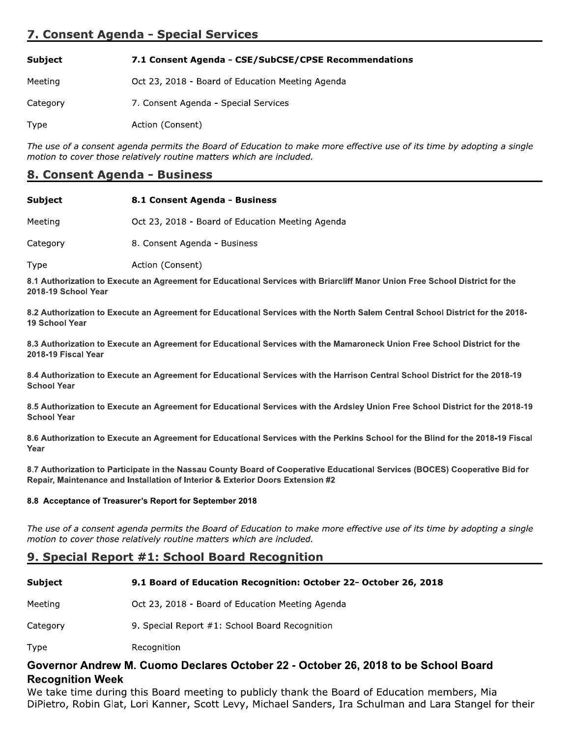## 7. Consent Agenda - Special Services

| Subject | 7.1 Consent Agenda - CSE/SubCSE/CPSE Recommendations |
|---------|------------------------------------------------------|
|         |                                                      |

Oct 23, 2018 - Board of Education Meeting Agenda Meeting

Category 7. Consent Agenda - Special Services

Type Action (Consent)

The use of a consent agenda permits the Board of Education to make more effective use of its time by adopting a single motion to cover those relatively routine matters which are included.

### 8. Consent Agenda - Business

| Subject  | 8.1 Consent Agenda - Business                    |
|----------|--------------------------------------------------|
| Meeting  | Oct 23, 2018 - Board of Education Meeting Agenda |
| Category | 8. Consent Agenda - Business                     |

Type Action (Consent)

8.1 Authorization to Execute an Agreement for Educational Services with Briarcliff Manor Union Free School District for the 2018-19 School Year

8.2 Authorization to Execute an Agreement for Educational Services with the North Salem Central School District for the 2018-19 School Year

8.3 Authorization to Execute an Agreement for Educational Services with the Mamaroneck Union Free School District for the 2018-19 Fiscal Year

8.4 Authorization to Execute an Agreement for Educational Services with the Harrison Central School District for the 2018-19 **School Year** 

8.5 Authorization to Execute an Agreement for Educational Services with the Ardsley Union Free School District for the 2018-19 **School Year** 

8.6 Authorization to Execute an Agreement for Educational Services with the Perkins School for the Blind for the 2018-19 Fiscal Year

8.7 Authorization to Participate in the Nassau County Board of Cooperative Educational Services (BOCES) Cooperative Bid for Repair, Maintenance and Installation of Interior & Exterior Doors Extension #2

### 8.8 Acceptance of Treasurer's Report for September 2018

The use of a consent agenda permits the Board of Education to make more effective use of its time by adopting a single motion to cover those relatively routine matters which are included.

### 9. Special Report #1: School Board Recognition

| Subject | 9.1 Board of Education Recognition: October 22- October 26, 2018 |
|---------|------------------------------------------------------------------|
|---------|------------------------------------------------------------------|

Meeting Oct 23, 2018 - Board of Education Meeting Agenda

9. Special Report #1: School Board Recognition Category

Recognition Type

## Governor Andrew M. Cuomo Declares October 22 - October 26, 2018 to be School Board **Recognition Week**

We take time during this Board meeting to publicly thank the Board of Education members, Mia DiPietro, Robin Glat, Lori Kanner, Scott Levy, Michael Sanders, Ira Schulman and Lara Stangel for their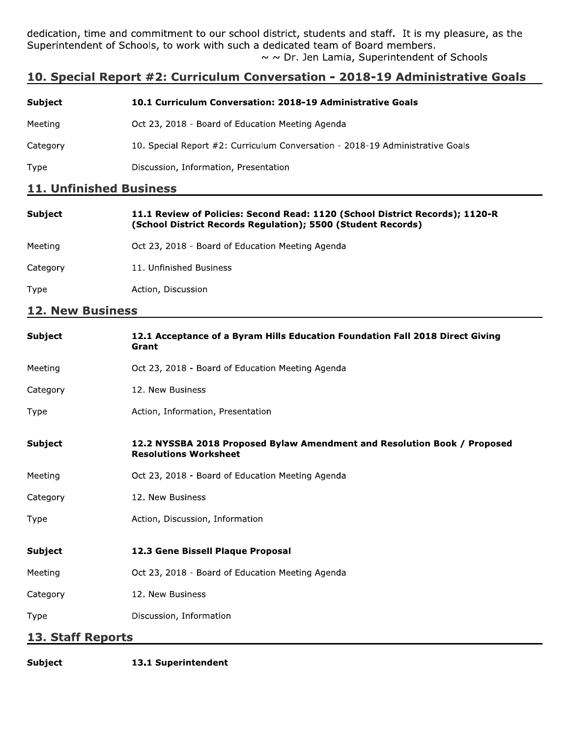dedication, time and commitment to our school district, students and staff. It is my pleasure, as the Superintendent of Schools, to work with such a dedicated team of Board members.  $\sim$   $\sim$  Dr. Jen Lamia, Superintendent of Schools

## 10. Special Report #2: Curriculum Conversation - 2018-19 Administrative Goals

| <b>Subject</b> | 10.1 Curriculum Conversation: 2018-19 Administrative Goals                    |
|----------------|-------------------------------------------------------------------------------|
| Meeting        | Oct 23, 2018 - Board of Education Meeting Agenda                              |
| Category       | 10. Special Report #2: Curriculum Conversation - 2018-19 Administrative Goals |
| <b>Type</b>    | Discussion, Information, Presentation                                         |

### 11. Unfinished Business

| <b>Subject</b> | 11.1 Review of Policies: Second Read: 1120 (School District Records); 1120-R<br>(School District Records Regulation); 5500 (Student Records) |
|----------------|----------------------------------------------------------------------------------------------------------------------------------------------|
| Meeting        | Oct 23, 2018 - Board of Education Meeting Agenda                                                                                             |
| Category       | 11. Unfinished Business                                                                                                                      |
| Type           | Action, Discussion                                                                                                                           |
|                |                                                                                                                                              |

### **12. New Business**

| <b>Subject</b>           | 12.1 Acceptance of a Byram Hills Education Foundation Fall 2018 Direct Giving<br>Grant                   |  |
|--------------------------|----------------------------------------------------------------------------------------------------------|--|
| Meeting                  | Oct 23, 2018 - Board of Education Meeting Agenda                                                         |  |
| Category                 | 12. New Business                                                                                         |  |
| Type                     | Action, Information, Presentation                                                                        |  |
| <b>Subject</b>           | 12.2 NYSSBA 2018 Proposed Bylaw Amendment and Resolution Book / Proposed<br><b>Resolutions Worksheet</b> |  |
| Meeting                  | Oct 23, 2018 - Board of Education Meeting Agenda                                                         |  |
| Category                 | 12. New Business                                                                                         |  |
| Type                     | Action, Discussion, Information                                                                          |  |
| Subject                  | 12.3 Gene Bissell Plaque Proposal                                                                        |  |
| Meeting                  | Oct 23, 2018 - Board of Education Meeting Agenda                                                         |  |
| Category                 | 12. New Business                                                                                         |  |
| Type                     | Discussion, Information                                                                                  |  |
| <b>13. Staff Reports</b> |                                                                                                          |  |

**Subject** 13.1 Superintendent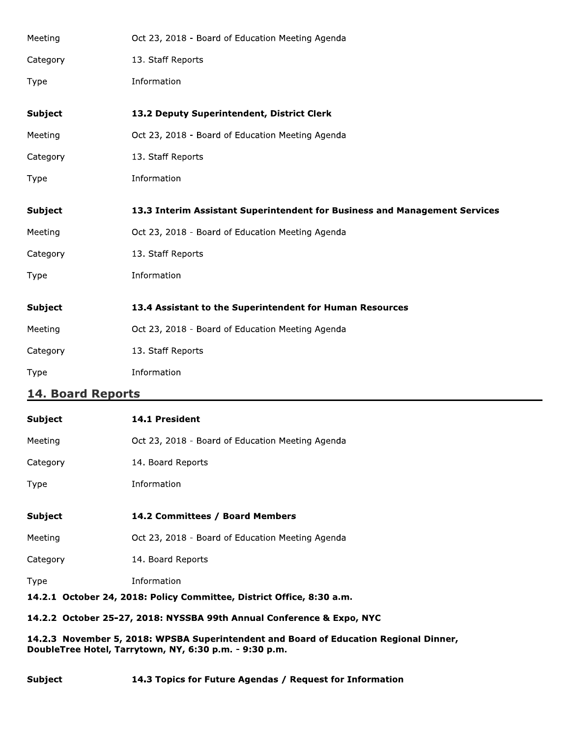| Meeting        | Oct 23, 2018 - Board of Education Meeting Agenda                           |  |
|----------------|----------------------------------------------------------------------------|--|
| Category       | 13. Staff Reports                                                          |  |
| Type           | Information                                                                |  |
| <b>Subject</b> | 13.2 Deputy Superintendent, District Clerk                                 |  |
| Meeting        | Oct 23, 2018 - Board of Education Meeting Agenda                           |  |
| Category       | 13. Staff Reports                                                          |  |
| Type           | Information                                                                |  |
| <b>Subject</b> | 13.3 Interim Assistant Superintendent for Business and Management Services |  |
| Meeting        | Oct 23, 2018 - Board of Education Meeting Agenda                           |  |
| Category       | 13. Staff Reports                                                          |  |
| <b>Type</b>    | Information                                                                |  |
| <b>Subject</b> | 13.4 Assistant to the Superintendent for Human Resources                   |  |
| Meeting        | Oct 23, 2018 - Board of Education Meeting Agenda                           |  |
| Category       | 13. Staff Reports                                                          |  |
| Type           | Information                                                                |  |

## 14. Board Reports

| <b>Subject</b>                                                        | <b>14.1 President</b>                            |  |
|-----------------------------------------------------------------------|--------------------------------------------------|--|
| Meeting                                                               | Oct 23, 2018 - Board of Education Meeting Agenda |  |
| Category                                                              | 14. Board Reports                                |  |
| Type                                                                  | Information                                      |  |
|                                                                       |                                                  |  |
| <b>Subject</b>                                                        | 14.2 Committees / Board Members                  |  |
| Meeting                                                               | Oct 23, 2018 - Board of Education Meeting Agenda |  |
| Category                                                              | 14. Board Reports                                |  |
| Type                                                                  | Information                                      |  |
| 14.2.1 October 24, 2018: Policy Committee, District Office, 8:30 a.m. |                                                  |  |
| 14.2.2 October 25-27, 2018: NYSSBA 99th Annual Conference & Expo, NYC |                                                  |  |

14.2.3 November 5, 2018: WPSBA Superintendent and Board of Education Regional Dinner, DoubleTree Hotel, Tarrytown, NY, 6:30 p.m. - 9:30 p.m.

### **Subject** 14.3 Topics for Future Agendas / Request for Information